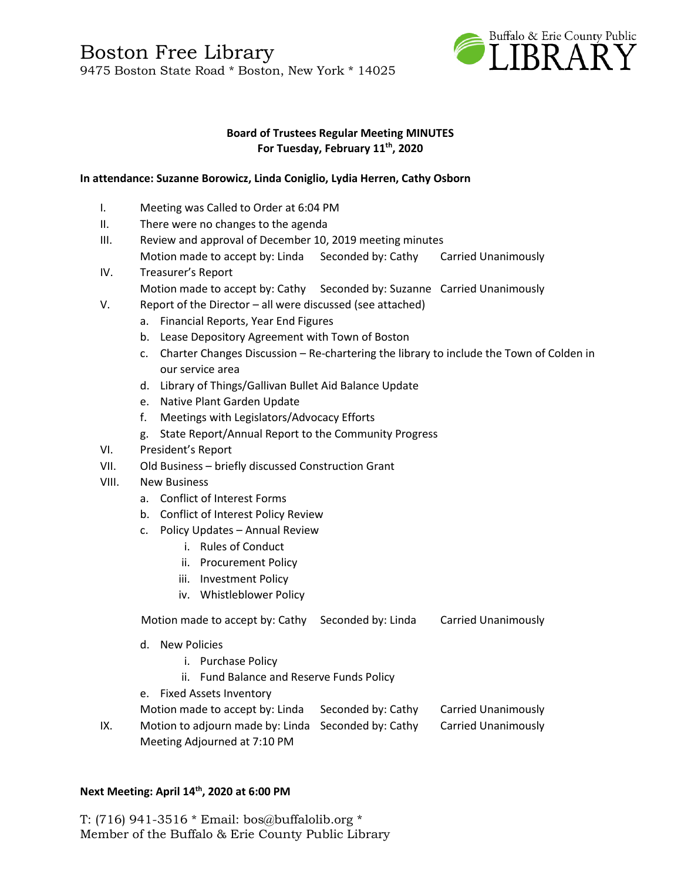Boston Free Library 9475 Boston State Road \* Boston, New York \* 14025



### **Board of Trustees Regular Meeting MINUTES For Tuesday, February 11 th, 2020**

### **In attendance: Suzanne Borowicz, Linda Coniglio, Lydia Herren, Cathy Osborn**

- I. Meeting was Called to Order at 6:04 PM
- II. There were no changes to the agenda
- III. Review and approval of December 10, 2019 meeting minutes Motion made to accept by: Linda Seconded by: Cathy Carried Unanimously
- IV. Treasurer's Report Motion made to accept by: Cathy Seconded by: Suzanne Carried Unanimously
- V. Report of the Director all were discussed (see attached)
	- a. Financial Reports, Year End Figures
	- b. Lease Depository Agreement with Town of Boston
	- c. Charter Changes Discussion Re-chartering the library to include the Town of Colden in our service area
	- d. Library of Things/Gallivan Bullet Aid Balance Update
	- e. Native Plant Garden Update
	- f. Meetings with Legislators/Advocacy Efforts
	- g. State Report/Annual Report to the Community Progress
- VI. President's Report
- VII. Old Business briefly discussed Construction Grant
- VIII. New Business
	- a. Conflict of Interest Forms
	- b. Conflict of Interest Policy Review
	- c. Policy Updates Annual Review
		- i. Rules of Conduct
		- ii. Procurement Policy
		- iii. Investment Policy
		- iv. Whistleblower Policy

Motion made to accept by: Cathy Seconded by: Linda Carried Unanimously

- d. New Policies
	- i. Purchase Policy
	- ii. Fund Balance and Reserve Funds Policy
- e. Fixed Assets Inventory

|     | Motion made to accept by: Linda                     | Seconded by: Cathy | Carried Unanimously |
|-----|-----------------------------------------------------|--------------------|---------------------|
| IX. | Motion to adjourn made by: Linda Seconded by: Cathy |                    | Carried Unanimously |
|     | Meeting Adjourned at 7:10 PM                        |                    |                     |

### **Next Meeting: April 14th, 2020 at 6:00 PM**

T: (716) 941-3516 \* Email: [bos@buffalolib.org](mailto:bos@buffalolib.org) \* Member of the Buffalo & Erie County Public Library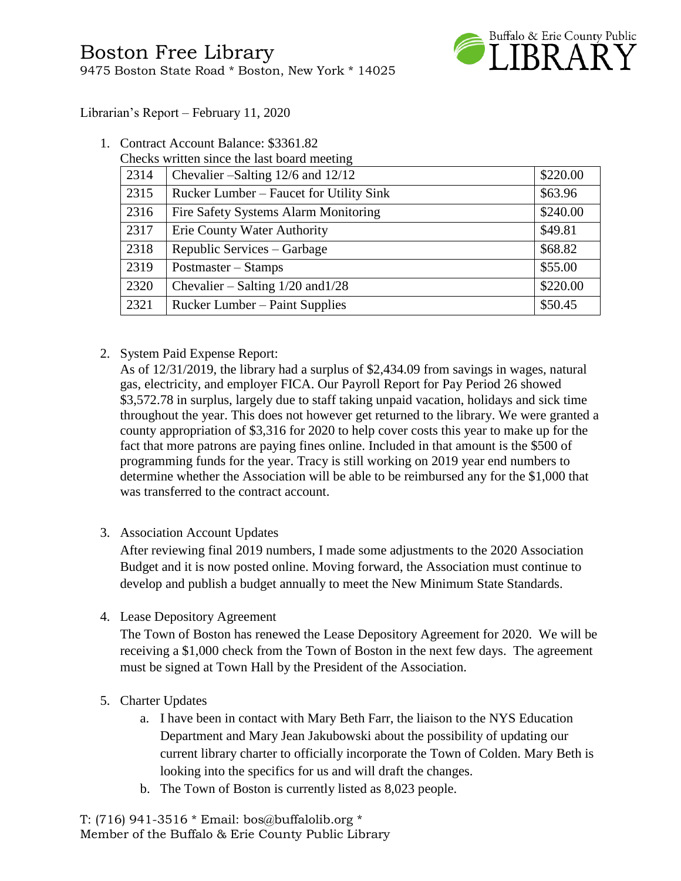

Librarian's Report – February 11, 2020

1. Contract Account Balance: \$3361.82

|      | Checks written since the last board meeting |          |
|------|---------------------------------------------|----------|
| 2314 | Chevalier – Salting $12/6$ and $12/12$      | \$220.00 |
| 2315 | Rucker Lumber – Faucet for Utility Sink     | \$63.96  |
| 2316 | Fire Safety Systems Alarm Monitoring        | \$240.00 |
| 2317 | Erie County Water Authority                 | \$49.81  |
| 2318 | Republic Services – Garbage                 | \$68.82  |
| 2319 | Postmaster – Stamps                         | \$55.00  |
| 2320 | Chevalier – Salting $1/20$ and $1/28$       | \$220.00 |
| 2321 | <b>Rucker Lumber – Paint Supplies</b>       | \$50.45  |

## 2. System Paid Expense Report:

As of 12/31/2019, the library had a surplus of \$2,434.09 from savings in wages, natural gas, electricity, and employer FICA. Our Payroll Report for Pay Period 26 showed \$3,572.78 in surplus, largely due to staff taking unpaid vacation, holidays and sick time throughout the year. This does not however get returned to the library. We were granted a county appropriation of \$3,316 for 2020 to help cover costs this year to make up for the fact that more patrons are paying fines online. Included in that amount is the \$500 of programming funds for the year. Tracy is still working on 2019 year end numbers to determine whether the Association will be able to be reimbursed any for the \$1,000 that was transferred to the contract account.

3. Association Account Updates

After reviewing final 2019 numbers, I made some adjustments to the 2020 Association Budget and it is now posted online. Moving forward, the Association must continue to develop and publish a budget annually to meet the New Minimum State Standards.

4. Lease Depository Agreement

The Town of Boston has renewed the Lease Depository Agreement for 2020. We will be receiving a \$1,000 check from the Town of Boston in the next few days. The agreement must be signed at Town Hall by the President of the Association.

- 5. Charter Updates
	- a. I have been in contact with Mary Beth Farr, the liaison to the NYS Education Department and Mary Jean Jakubowski about the possibility of updating our current library charter to officially incorporate the Town of Colden. Mary Beth is looking into the specifics for us and will draft the changes.
	- b. The Town of Boston is currently listed as 8,023 people.

T: (716) 941-3516 \* Email: [bos@buffalolib.org](mailto:bos@buffalolib.org) \* Member of the Buffalo & Erie County Public Library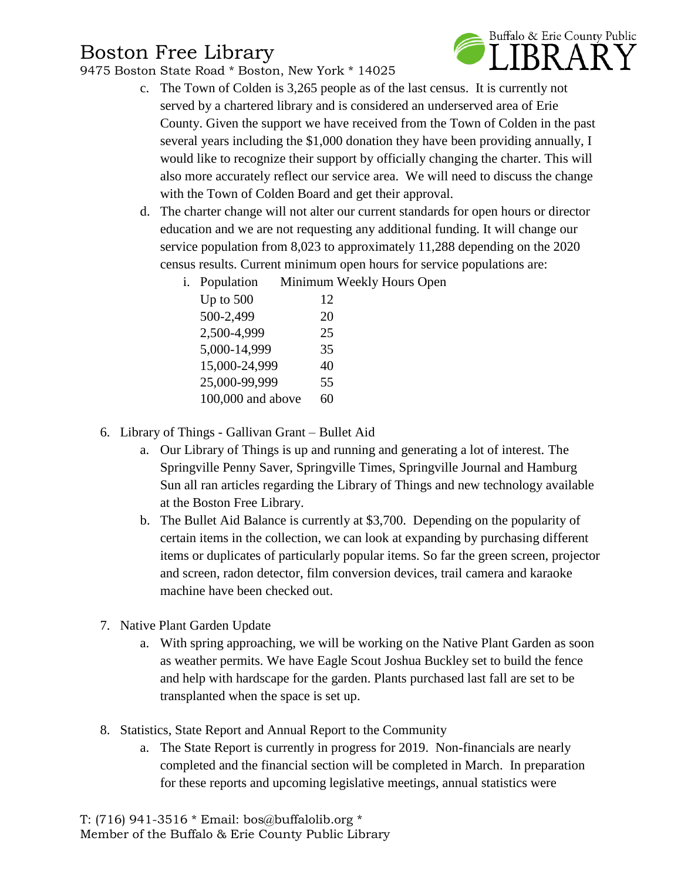# Boston Free Library

9475 Boston State Road \* Boston, New York \* 14025



- c. The Town of Colden is 3,265 people as of the last census. It is currently not served by a chartered library and is considered an underserved area of Erie County. Given the support we have received from the Town of Colden in the past several years including the \$1,000 donation they have been providing annually, I would like to recognize their support by officially changing the charter. This will also more accurately reflect our service area. We will need to discuss the change with the Town of Colden Board and get their approval.
- d. The charter change will not alter our current standards for open hours or director education and we are not requesting any additional funding. It will change our service population from 8,023 to approximately 11,288 depending on the 2020 census results. Current minimum open hours for service populations are:
	- i. Population Minimum Weekly Hours Open

| Up to $500$       | 12 |
|-------------------|----|
| 500-2,499         | 20 |
| 2,500-4,999       | 25 |
| 5,000-14,999      | 35 |
| 15,000-24,999     | 40 |
| 25,000-99,999     | 55 |
| 100,000 and above | 60 |
|                   |    |

- 6. Library of Things Gallivan Grant Bullet Aid
	- a. Our Library of Things is up and running and generating a lot of interest. The Springville Penny Saver, Springville Times, Springville Journal and Hamburg Sun all ran articles regarding the Library of Things and new technology available at the Boston Free Library.
	- b. The Bullet Aid Balance is currently at \$3,700. Depending on the popularity of certain items in the collection, we can look at expanding by purchasing different items or duplicates of particularly popular items. So far the green screen, projector and screen, radon detector, film conversion devices, trail camera and karaoke machine have been checked out.
- 7. Native Plant Garden Update
	- a. With spring approaching, we will be working on the Native Plant Garden as soon as weather permits. We have Eagle Scout Joshua Buckley set to build the fence and help with hardscape for the garden. Plants purchased last fall are set to be transplanted when the space is set up.
- 8. Statistics, State Report and Annual Report to the Community
	- a. The State Report is currently in progress for 2019. Non-financials are nearly completed and the financial section will be completed in March. In preparation for these reports and upcoming legislative meetings, annual statistics were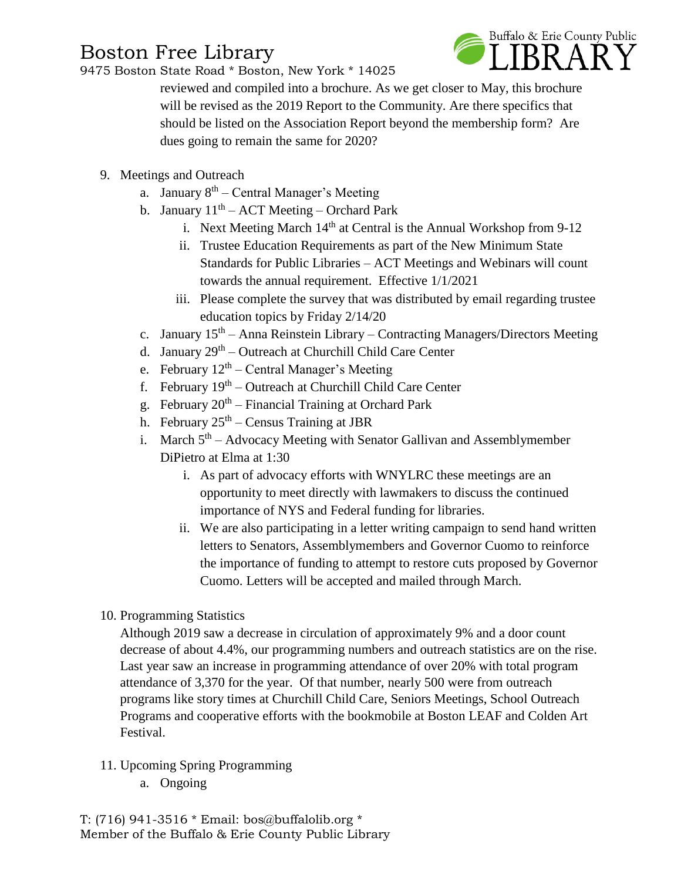# Boston Free Library

9475 Boston State Road \* Boston, New York \* 14025



reviewed and compiled into a brochure. As we get closer to May, this brochure will be revised as the 2019 Report to the Community. Are there specifics that should be listed on the Association Report beyond the membership form? Are dues going to remain the same for 2020?

- 9. Meetings and Outreach
	- a. January 8<sup>th</sup> Central Manager's Meeting
	- b. January  $11<sup>th</sup> ACT$  Meeting Orchard Park
		- i. Next Meeting March  $14<sup>th</sup>$  at Central is the Annual Workshop from 9-12
		- ii. Trustee Education Requirements as part of the New Minimum State Standards for Public Libraries – ACT Meetings and Webinars will count towards the annual requirement. Effective 1/1/2021
		- iii. Please complete the survey that was distributed by email regarding trustee education topics by Friday 2/14/20
	- c. January 15<sup>th</sup> Anna Reinstein Library Contracting Managers/Directors Meeting
	- d. January 29<sup>th</sup> Outreach at Churchill Child Care Center
	- e. February  $12<sup>th</sup>$  Central Manager's Meeting
	- f. February 19<sup>th</sup> Outreach at Churchill Child Care Center
	- g. February 20<sup>th</sup> Financial Training at Orchard Park
	- h. February  $25<sup>th</sup>$  Census Training at JBR
	- i. March  $5<sup>th</sup>$  Advocacy Meeting with Senator Gallivan and Assemblymember DiPietro at Elma at 1:30
		- i. As part of advocacy efforts with WNYLRC these meetings are an opportunity to meet directly with lawmakers to discuss the continued importance of NYS and Federal funding for libraries.
		- ii. We are also participating in a letter writing campaign to send hand written letters to Senators, Assemblymembers and Governor Cuomo to reinforce the importance of funding to attempt to restore cuts proposed by Governor Cuomo. Letters will be accepted and mailed through March.
- 10. Programming Statistics

Although 2019 saw a decrease in circulation of approximately 9% and a door count decrease of about 4.4%, our programming numbers and outreach statistics are on the rise. Last year saw an increase in programming attendance of over 20% with total program attendance of 3,370 for the year. Of that number, nearly 500 were from outreach programs like story times at Churchill Child Care, Seniors Meetings, School Outreach Programs and cooperative efforts with the bookmobile at Boston LEAF and Colden Art Festival.

- 11. Upcoming Spring Programming
	- a. Ongoing